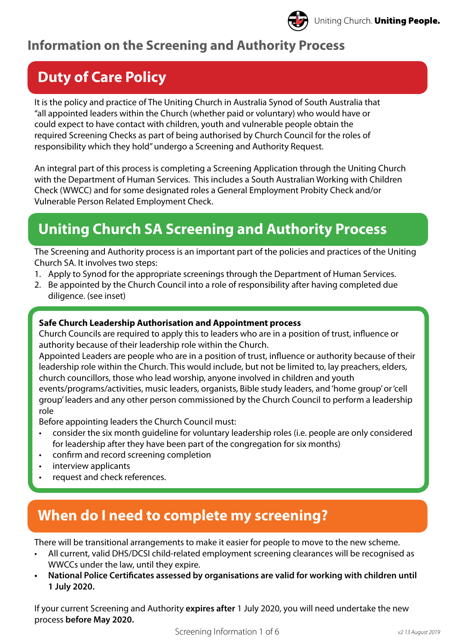### **Information on the Screening and Authority Process**

# **Duty of Care Policy**

It is the policy and practice of The Uniting Church in Australia Synod of South Australia that "all appointed leaders within the Church (whether paid or voluntary) who would have or could expect to have contact with children, youth and vulnerable people obtain the required Screening Checks as part of being authorised by Church Council for the roles of responsibility which they hold" undergo a Screening and Authority Request.

An integral part of this process is completing a Screening Application through the Uniting Church with the Department of Human Services. This includes a South Australian Working with Children Check (WWCC) and for some designated roles a General Employment Probity Check and/or Vulnerable Person Related Employment Check.

# **Uniting Church SA Screening and Authority Process**

The Screening and Authority process is an important part of the policies and practices of the Uniting Church SA. It involves two steps:

- 1. Apply to Synod for the appropriate screenings through the Department of Human Services.
- 2. Be appointed by the Church Council into a role of responsibility after having completed due diligence. (see inset)

### **Safe Church Leadership Authorisation and Appointment process**

Church Councils are required to apply this to leaders who are in a position of trust, influence or authority because of their leadership role within the Church.

Appointed Leaders are people who are in a position of trust, influence or authority because of their leadership role within the Church. This would include, but not be limited to, lay preachers, elders, church councillors, those who lead worship, anyone involved in children and youth events/programs/activities, music leaders, organists, Bible study leaders, and 'home group' or 'cell group' leaders and any other person commissioned by the Church Council to perform a leadership role

Before appointing leaders the Church Council must:

- consider the six month guideline for voluntary leadership roles (i.e. people are only considered for leadership after they have been part of the congregation for six months)
- confirm and record screening completion
- interview applicants
- request and check references.

## **When do I need to complete my screening?**

There will be transitional arrangements to make it easier for people to move to the new scheme.

- All current, valid DHS/DCSI child-related employment screening clearances will be recognised as WWCCs under the law, until they expire.
- **• National Police Certificates assessed by organisations are valid for working with children until 1 July 2020.**

If your current Screening and Authority **expires after** 1 July 2020, you will need undertake the new process **before May 2020.**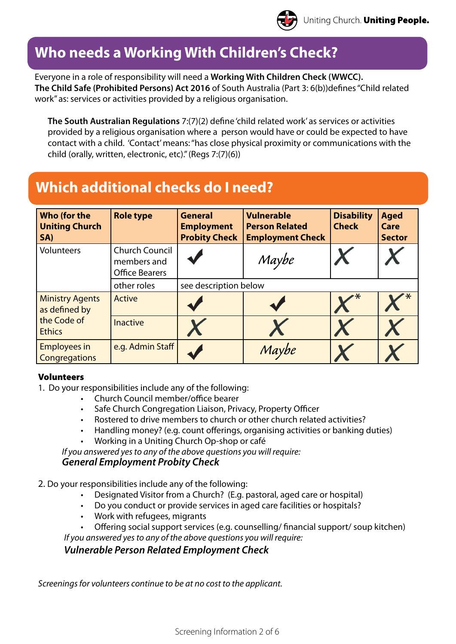### **Who needs a Working With Children's Check?**

Everyone in a role of responsibility will need a **Working With Children Check (WWCC). The Child Safe (Prohibited Persons) Act 2016** of South Australia (Part 3: 6(b))defines "Child related work" as: services or activities provided by a religious organisation.

**The South Australian Regulations** 7:(7)(2) define 'child related work' as services or activities provided by a religious organisation where a person would have or could be expected to have contact with a child. 'Contact' means: "has close physical proximity or communications with the child (orally, written, electronic, etc)." (Regs 7:(7)(6))

### **Which additional checks do I need?**

| <b>Who (for the</b><br><b>Uniting Church</b><br>SA)                     | <b>Role type</b>                                              | <b>General</b><br><b>Employment</b><br><b>Probity Check</b> | <b>Vulnerable</b><br><b>Person Related</b><br><b>Employment Check</b> | <b>Disability</b><br><b>Check</b> | <b>Aged</b><br>Care<br><b>Sector</b> |
|-------------------------------------------------------------------------|---------------------------------------------------------------|-------------------------------------------------------------|-----------------------------------------------------------------------|-----------------------------------|--------------------------------------|
| Volunteers                                                              | <b>Church Council</b><br>members and<br><b>Office Bearers</b> |                                                             | Maybe                                                                 |                                   |                                      |
|                                                                         | other roles                                                   | see description below                                       |                                                                       |                                   |                                      |
| <b>Ministry Agents</b><br>as defined by<br>the Code of<br><b>Ethics</b> | Active                                                        |                                                             |                                                                       |                                   |                                      |
|                                                                         | <b>Inactive</b>                                               |                                                             |                                                                       |                                   |                                      |
| <b>Employees in</b><br>Congregations                                    | e.g. Admin Staff                                              |                                                             | Maybe                                                                 |                                   |                                      |

### Volunteers

1. Do your responsibilities include any of the following:

- Church Council member/office bearer
- Safe Church Congregation Liaison, Privacy, Property Officer
- Rostered to drive members to church or other church related activities?
- Handling money? (e.g. count offerings, organising activities or banking duties)
- Working in a Uniting Church Op-shop or café

*If you answered yes to any of the above questions you will require:* 

### *General Employment Probity Check*

2. Do your responsibilities include any of the following:

- Designated Visitor from a Church? (E.g. pastoral, aged care or hospital)
- Do you conduct or provide services in aged care facilities or hospitals?
- Work with refugees, migrants
- Offering social support services (e.g. counselling/ financial support/ soup kitchen) *If you answered yes to any of the above questions you will require:*

*Vulnerable Person Related Employment Check*

*Screenings for volunteers continue to be at no cost to the applicant.*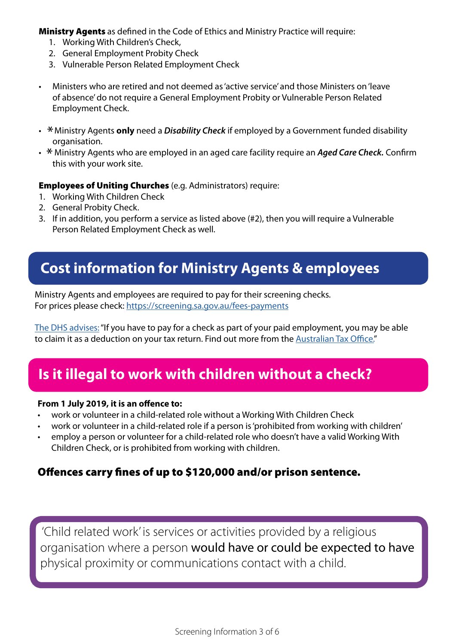**Ministry Agents** as defined in the Code of Ethics and Ministry Practice will require:

- 1. Working With Children's Check,
- 2. General Employment Probity Check
- 3. Vulnerable Person Related Employment Check
- Ministers who are retired and not deemed as 'active service' and those Ministers on 'leave of absence' do not require a General Employment Probity or Vulnerable Person Related Employment Check.
- \* Ministry Agents **only** need a *Disability Check* if employed by a Government funded disability<br>examplication organisation.
- \* Ministry Agents who are employed in an aged care facility require an *Aged Care Check*. Confirm this use the confirm this with your work site.

Employees of Uniting Churches (e.g. Administrators) require:

- 1. Working With Children Check
- 2. General Probity Check.
- 3. If in addition, you perform a service as listed above (#2), then you will require a Vulnerable Person Related Employment Check as well.

### **Cost information for Ministry Agents & employees**

Ministry Agents and employees are required to pay for their screening checks. For prices please check:<https://screening.sa.gov.au/fees-payments>

[The DHS advises:](https://screening.sa.gov.au/fees-payments) "If you have to pay for a check as part of your paid employment, you may be able to claim it as a deduction on your tax return. Find out more from the [Australian Tax Office.](https://www.ato.gov.au/individuals/income-and-deductions/deductions-you-can-claim/)"

## **Is it illegal to work with children without a check?**

#### **From 1 July 2019, it is an offence to:**

- work or volunteer in a child-related role without a Working With Children Check
- work or volunteer in a child-related role if a person is 'prohibited from working with children'
- employ a person or volunteer for a child-related role who doesn't have a valid Working With Children Check, or is prohibited from working with children.

### Offences carry fines of up to \$120,000 and/or prison sentence.

'Child related work' is services or activities provided by a religious organisation where a person would have or could be expected to have physical proximity or communications contact with a child.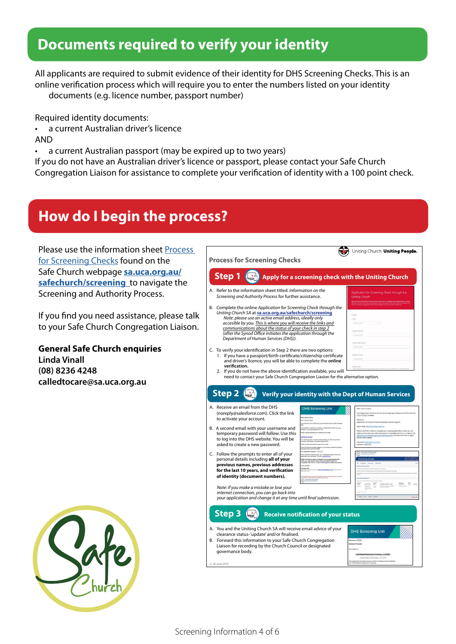### **Documents required to verify your identity**

All applicants are required to submit evidence of their identity for DHS Screening Checks. This is an online verification process which will require you to enter the numbers listed on your identity documents (e.g. licence number, passport number)

Required identity documents:

- a current Australian driver's licence AND
- a current Australian passport (may be expired up to two years)

If you do not have an Australian driver's licence or passport, please contact your Safe Church Congregation Liaison for assistance to complete your verification of identity with a 100 point check.

### **How do I begin the process?**

Please use the information sheet Process for Screening Checks found on the Safe Church webpage **[sa.uca.org.au/](http://sa.uca.org.au/safechurch/screening) [safechurch/screening](http://sa.uca.org.au/safechurch/screening)** to navigate the Screening and Authority Process.

If you find you need assistance, please talk to your Safe Church Congregation Liaison.

**General Safe Church enquiries Linda Vinall (08) 8236 4248 calledtocare@sa.uca.org.au**



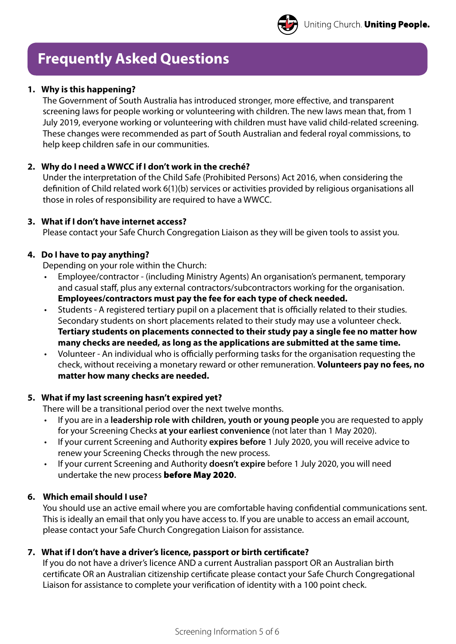

### **Frequently Asked Questions**

### **1. Why is this happening?**

The Government of South Australia has introduced stronger, more effective, and transparent screening laws for people working or volunteering with children. The new laws mean that, from 1 July 2019, everyone working or volunteering with children must have valid child-related screening. These changes were recommended as part of South Australian and federal royal commissions, to help keep children safe in our communities.

### **2. Why do I need a WWCC if I don't work in the creché?**

Under the interpretation of the Child Safe (Prohibited Persons) Act 2016, when considering the definition of Child related work 6(1)(b) services or activities provided by religious organisations all those in roles of responsibility are required to have a WWCC.

#### **3. What if I don't have internet access?**

Please contact your Safe Church Congregation Liaison as they will be given tools to assist you.

#### **4. Do I have to pay anything?**

Depending on your role within the Church:

- Employee/contractor (including Ministry Agents) An organisation's permanent, temporary and casual staff, plus any external contractors/subcontractors working for the organisation. **Employees/contractors must pay the fee for each type of check needed.**
- Students A registered tertiary pupil on a placement that is officially related to their studies. Secondary students on short placements related to their study may use a volunteer check. **Tertiary students on placements connected to their study pay a single fee no matter how many checks are needed, as long as the applications are submitted at the same time.**
- Volunteer An individual who is officially performing tasks for the organisation requesting the check, without receiving a monetary reward or other remuneration. **Volunteers pay no fees, no matter how many checks are needed.**

#### **5. What if my last screening hasn't expired yet?**

There will be a transitional period over the next twelve months.

- If you are in a **leadership role with children, youth or young people** you are requested to apply for your Screening Checks **at your earliest convenience** (not later than 1 May 2020).
- If your current Screening and Authority **expires before** 1 July 2020, you will receive advice to renew your Screening Checks through the new process.
- If your current Screening and Authority **doesn't expire** before 1 July 2020, you will need undertake the new process before May 2020**.**

#### **6. Which email should I use?**

You should use an active email where you are comfortable having confidential communications sent. This is ideally an email that only you have access to. If you are unable to access an email account, please contact your Safe Church Congregation Liaison for assistance.

#### **7. What if I don't have a driver's licence, passport or birth certificate?**

If you do not have a driver's licence AND a current Australian passport OR an Australian birth certificate OR an Australian citizenship certificate please contact your Safe Church Congregational Liaison for assistance to complete your verification of identity with a 100 point check.